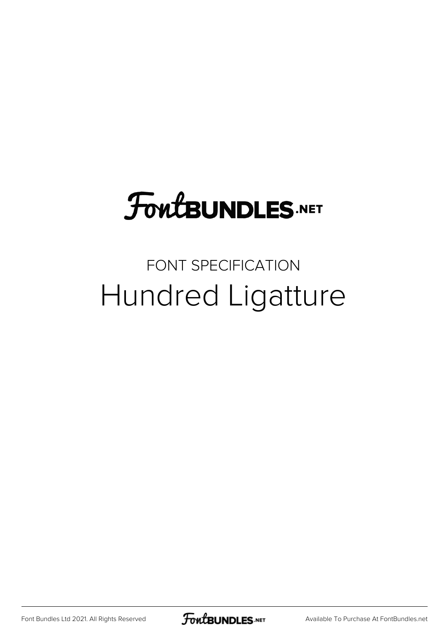### **FoutBUNDLES.NET**

#### FONT SPECIFICATION Hundred Ligatture

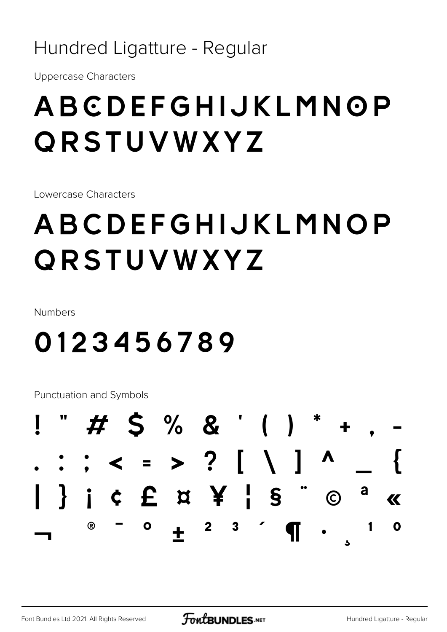#### Hundred Ligatture - Regular

**Uppercase Characters** 

### ABCDEFGHIJKLMNOP ORSTUVWXYZ

Lowercase Characters

### ABCDEFGHIJKLMNOP ORSTUVWXYZ

Numbers

### 0123456789

Punctuation and Symbols

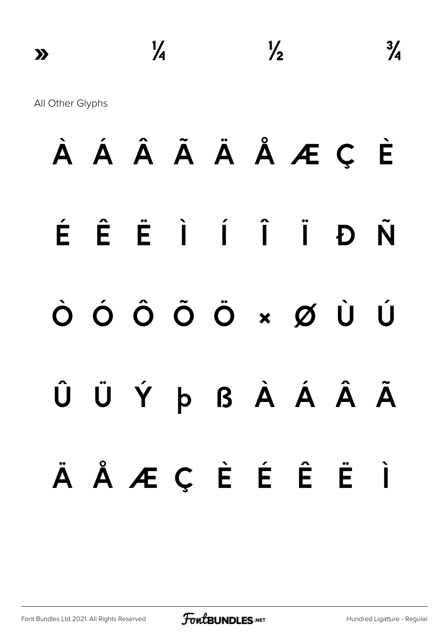### À Á Â Ã Ä Å Æ Ç È É Ê Ë Ì Í Î Ï Ð Ñ Ò Ó Ô Õ Ö × Ø Ù Ú Û Ü Ý þ ß À Á Â Ã ä å æ ç è é ê ë ì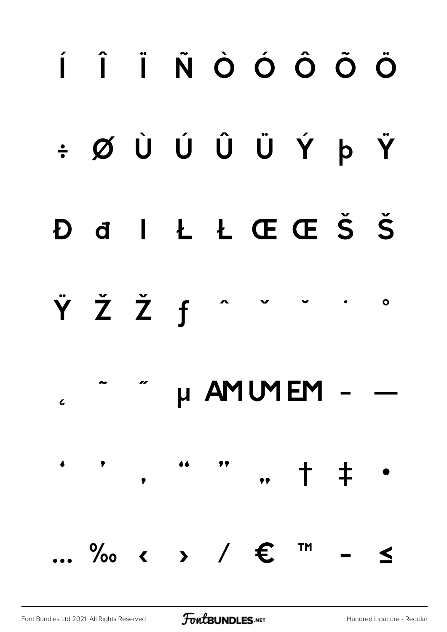### Í Î Ï Ñ Ò Ó Ô Õ Ö ÷ Ø Ù Ú Û Ü Ý þ Ÿ ILLŒŒŠŠ b d ŸŽŽf  $\bullet$ µ AMUMEM  $\overline{\mathcal{L}}$  $\bullet$ 66  $+$   $+$

Font Bundles Ltd 2021. All Rights Reserved

**FoutBUNDLES**.NET

 $\therefore$  %  $\circ$   $\circ$   $\circ$  /  $\in$ 

**TM** 

 $\blacktriangle$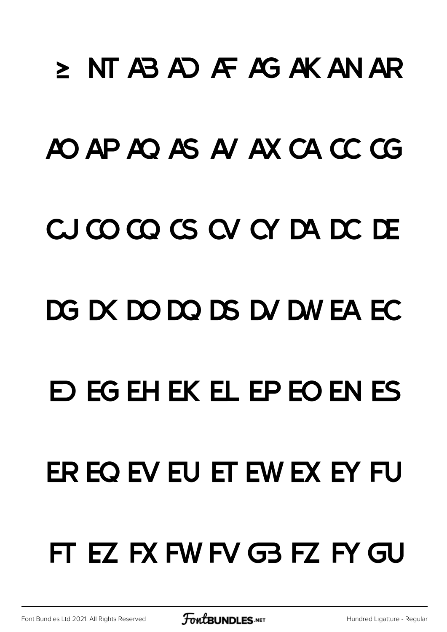# ≥ NT AB AD AF AG AK AN AR AO AP AO AS A/AX CA CC CG CJCOCOCSCVCYDADCDE DG DX DO DQ DS DV DW EA EC **D EG EH EK EL EP EO EN ES** ER EO EV EU ET EW EX EY FU FT EZ FX FW FV G3 FZ FY GU

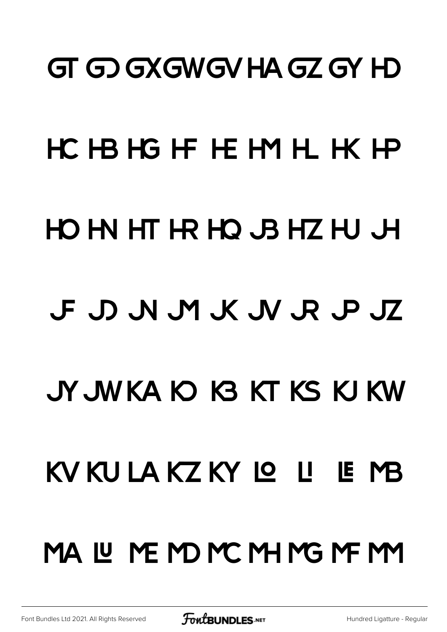### **GT GD GXGWGV HA GZ GY HD**

# HC HB HG HF HE HM HL HK HP HOM HTHRHOJBHZHUJH F D N M K N R P JZ JY JWKA O G KT KS KJ KW KV KU LA KZ KY LO LI LE MB MALUNEMONCMHNGMFMM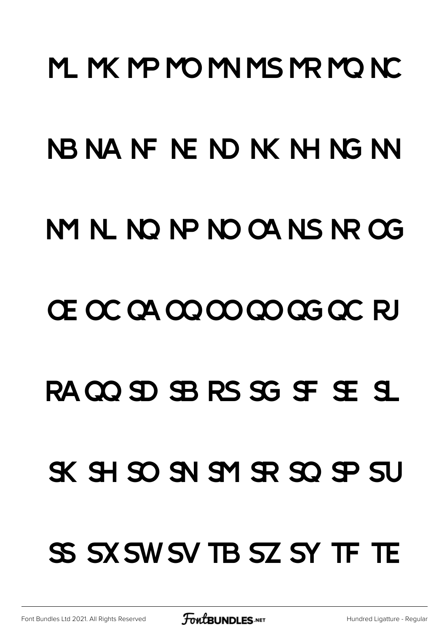# M. M. MP MO MI MS MR MO NC NBNANFNENDNKNHNGNN M N N N P N OA N S N OG CE O CCA O O O O O G O CC RJ RACO SD SB RS SG SF SE SL  $X$   $H$   $S$  $O$   $S$  $N$   $S$  $R$   $S$  $O$   $S$  $P$   $S$  $U$ SS SX SW SV TB SZ SY TF TE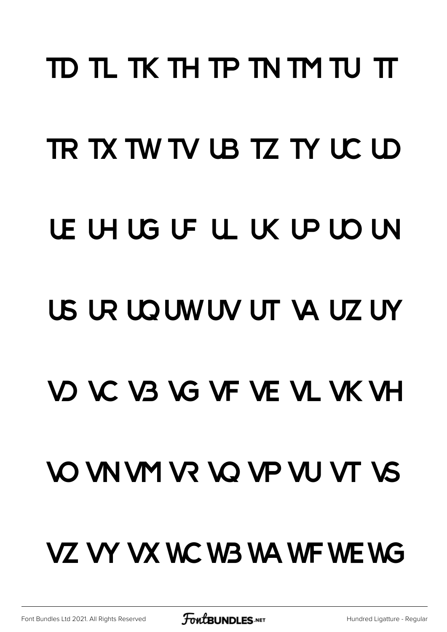### TD TL TK TH TP TN TM TU TT TR TX TW TV UB TZ TY UC UD LE LH LG LF LL LK LP LD LN US UR UD UN UV UT VA UZ UY VO VC V3 VG VF VE VL VK VH **VO VN VM VR VO VP VU VT VS** VZ VY VX WC W3 WA WF WE WG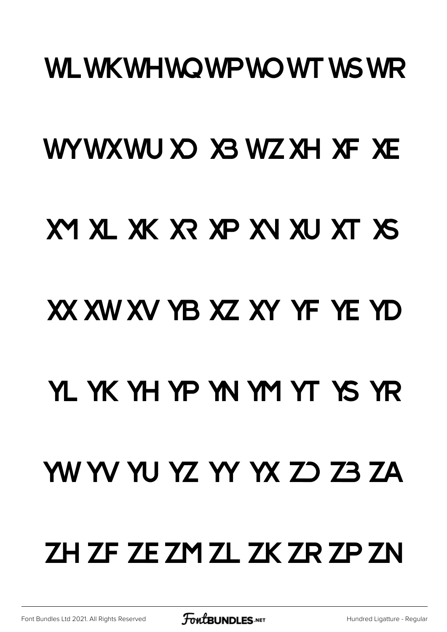#### WLWKWHWQWPWQWTWSWR

### WYWXWU XO X3 WZ XH XF XE

### XY XL XK XR XP XV XU XT XS

### XX XW XV YB XZ XY YF YE YD

### YL YK YH YP YN YM YT YS YR

### WWWWYZ YY YX ZO Z3 ZA

### ZH ZF ZE ZM ZL ZK ZR ZP ZN